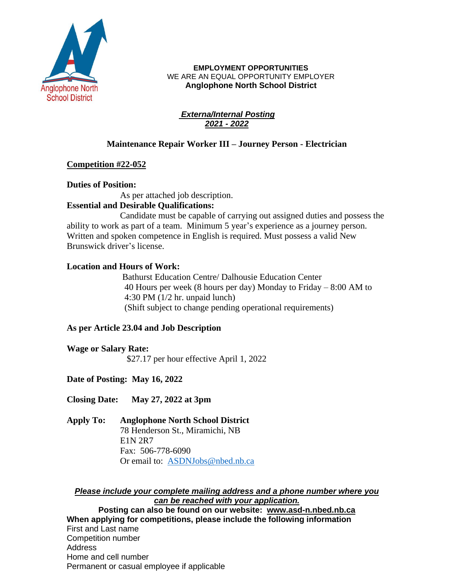

#### **EMPLOYMENT OPPORTUNITIES** WE ARE AN EQUAL OPPORTUNITY EMPLOYER **Anglophone North School District**

#### *Externa/Internal Posting 2021 - 2022*

## **Maintenance Repair Worker III – Journey Person - Electrician**

## **Competition #22-052**

## **Duties of Position:**

As per attached job description.

# **Essential and Desirable Qualifications:**

Candidate must be capable of carrying out assigned duties and possess the ability to work as part of a team. Minimum 5 year's experience as a journey person. Written and spoken competence in English is required. Must possess a valid New Brunswick driver's license.

# **Location and Hours of Work:**

Bathurst Education Centre/ Dalhousie Education Center 40 Hours per week (8 hours per day) Monday to Friday – 8:00 AM to 4:30 PM (1/2 hr. unpaid lunch) (Shift subject to change pending operational requirements)

## **As per Article 23.04 and Job Description**

**Wage or Salary Rate:** \$27.17 per hour effective April 1, 2022

**Date of Posting: May 16, 2022**

**Closing Date: May 27, 2022 at 3pm**

**Apply To: Anglophone North School District** 78 Henderson St., Miramichi, NB E1N 2R7 Fax: 506-778-6090 Or email to: [ASDNJobs@nbed.nb.ca](mailto:ASDNJobs@nbed.nb.ca)

*Please include your complete mailing address and a phone number where you can be reached with your application.* **Posting can also be found on our website: www.asd-n.nbed.nb.ca When applying for competitions, please include the following information** First and Last name Competition number **Address** Home and cell number

Permanent or casual employee if applicable